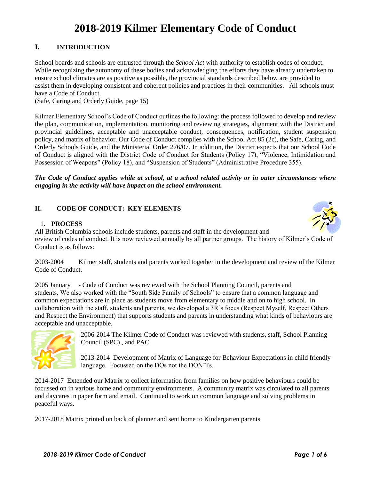# **2018-2019 Kilmer Elementary Code of Conduct**

# **I. INTRODUCTION**

School boards and schools are entrusted through the *School Act* with authority to establish codes of conduct. While recognizing the autonomy of these bodies and acknowledging the efforts they have already undertaken to ensure school climates are as positive as possible, the provincial standards described below are provided to assist them in developing consistent and coherent policies and practices in their communities. All schools must have a Code of Conduct.

(Safe, Caring and Orderly Guide, page 15)

Kilmer Elementary School's Code of Conduct outlines the following: the process followed to develop and review the plan, communication, implementation, monitoring and reviewing strategies, alignment with the District and provincial guidelines, acceptable and unacceptable conduct, consequences, notification, student suspension policy, and matrix of behavior. Our Code of Conduct complies with the School Act 85 (2c), the Safe, Caring, and Orderly Schools Guide, and the Ministerial Order 276/07. In addition, the District expects that our School Code of Conduct is aligned with the District Code of Conduct for Students (Policy 17), "Violence, Intimidation and Possession of Weapons" (Policy 18), and "Suspension of Students" (Administrative Procedure 355).

#### *The Code of Conduct applies while at school, at a school related activity or in outer circumstances where engaging in the activity will have impact on the school environment.*

# **II. CODE OF CONDUCT: KEY ELEMENTS**

#### 1. **PROCESS**



All British Columbia schools include students, parents and staff in the development and review of codes of conduct. It is now reviewed annually by all partner groups. The history of Kilmer's Code of Conduct is as follows:

2003-2004 Kilmer staff, students and parents worked together in the development and review of the Kilmer Code of Conduct.

2005 January - Code of Conduct was reviewed with the School Planning Council, parents and students. We also worked with the "South Side Family of Schools" to ensure that a common language and common expectations are in place as students move from elementary to middle and on to high school. In collaboration with the staff, students and parents, we developed a 3R's focus (Respect Myself, Respect Others and Respect the Environment) that supports students and parents in understanding what kinds of behaviours are acceptable and unacceptable.



2006-2014 The Kilmer Code of Conduct was reviewed with students, staff, School Planning Council (SPC) , and PAC.

2013-2014 Development of Matrix of Language for Behaviour Expectations in child friendly language. Focussed on the DOs not the DON'Ts.

2014-2017 Extended our Matrix to collect information from families on how positive behaviours could be focussed on in various home and community environments. A community matrix was circulated to all parents and daycares in paper form and email. Continued to work on common language and solving problems in peaceful ways.

2017-2018 Matrix printed on back of planner and sent home to Kindergarten parents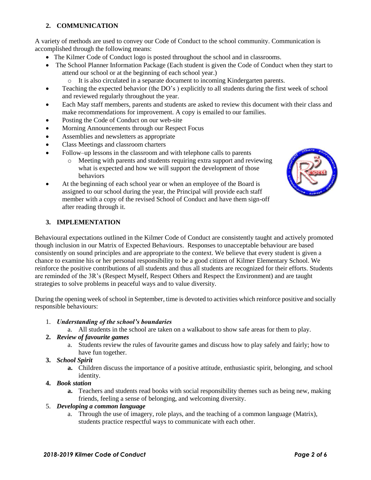# **2. COMMUNICATION**

A variety of methods are used to convey our Code of Conduct to the school community. Communication is accomplished through the following means:

- The Kilmer Code of Conduct logo is posted throughout the school and in classrooms.
- The School Planner Information Package (Each student is given the Code of Conduct when they start to attend our school or at the beginning of each school year.)
	- o It is also circulated in a separate document to incoming Kindergarten parents.
- Teaching the expected behavior (the DO's) explicitly to all students during the first week of school and reviewed regularly throughout the year.
- Each May staff members, parents and students are asked to review this document with their class and make recommendations for improvement. A copy is emailed to our families.
- Posting the Code of Conduct on our web-site
- Morning Announcements through our Respect Focus
- Assemblies and newsletters as appropriate
- Class Meetings and classroom charters
- Follow–up lessons in the classroom and with telephone calls to parents
	- o Meeting with parents and students requiring extra support and reviewing what is expected and how we will support the development of those behaviors
- At the beginning of each school year or when an employee of the Board is assigned to our school during the year, the Principal will provide each staff member with a copy of the revised School of Conduct and have them sign-off after reading through it.



## **3. IMPLEMENTATION**

Behavioural expectations outlined in the Kilmer Code of Conduct are consistently taught and actively promoted though inclusion in our Matrix of Expected Behaviours. Responses to unacceptable behaviour are based consistently on sound principles and are appropriate to the context. We believe that every student is given a chance to examine his or her personal responsibility to be a good citizen of Kilmer Elementary School. We reinforce the positive contributions of all students and thus all students are recognized for their efforts. Students are reminded of the 3R's (Respect Myself, Respect Others and Respect the Environment) and are taught strategies to solve problems in peaceful ways and to value diversity.

During the opening week of school in September, time is devoted to activities which reinforce positive and socially responsible behaviours:

#### 1. *Understanding of the school's boundaries*

a. All students in the school are taken on a walkabout to show safe areas for them to play.

## **2.** *Review of favourite games*

- a. Students review the rules of favourite games and discuss how to play safely and fairly; how to have fun together.
- **3.** *School Spirit*
	- **a.** Children discuss the importance of a positive attitude, enthusiastic spirit, belonging, and school identity.

## **4.** *Book station*

**a.** Teachers and students read books with social responsibility themes such as being new, making friends, feeling a sense of belonging, and welcoming diversity.

## 5. *Developing a common language*

a. Through the use of imagery, role plays, and the teaching of a common language (Matrix), students practice respectful ways to communicate with each other.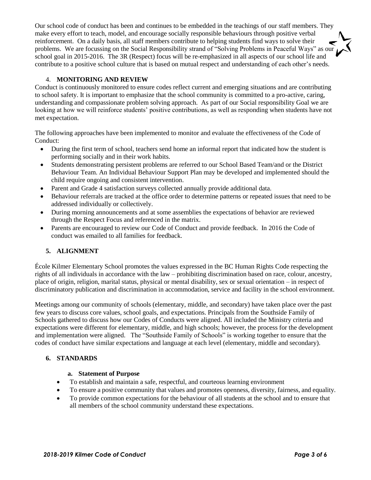Our school code of conduct has been and continues to be embedded in the teachings of our staff members. They make every effort to teach, model, and encourage socially responsible behaviours through positive verbal reinforcement. On a daily basis, all staff members contribute to helping students find ways to solve their problems. We are focussing on the Social Responsibility strand of "Solving Problems in Peaceful Ways" as our school goal in 2015-2016. The 3R (Respect) focus will be re-emphasized in all aspects of our school life and contribute to a positive school culture that is based on mutual respect and understanding of each other's needs.

## 4. **MONITORING AND REVIEW**

Conduct is continuously monitored to ensure codes reflect current and emerging situations and are contributing to school safety. It is important to emphasize that the school community is committed to a pro-active, caring, understanding and compassionate problem solving approach. As part of our Social responsibility Goal we are looking at how we will reinforce students' positive contributions, as well as responding when students have not met expectation.

The following approaches have been implemented to monitor and evaluate the effectiveness of the Code of Conduct:

- During the first term of school, teachers send home an informal report that indicated how the student is performing socially and in their work habits.
- Students demonstrating persistent problems are referred to our School Based Team/and or the District Behaviour Team. An Individual Behaviour Support Plan may be developed and implemented should the child require ongoing and consistent intervention.
- Parent and Grade 4 satisfaction surveys collected annually provide additional data.
- Behaviour referrals are tracked at the office order to determine patterns or repeated issues that need to be addressed individually or collectively.
- During morning announcements and at some assemblies the expectations of behavior are reviewed through the Respect Focus and referenced in the matrix.
- Parents are encouraged to review our Code of Conduct and provide feedback. In 2016 the Code of conduct was emailed to all families for feedback.

#### **5. ALIGNMENT**

École Kilmer Elementary School promotes the values expressed in the BC Human Rights Code respecting the rights of all individuals in accordance with the law – prohibiting discrimination based on race, colour, ancestry, place of origin, religion, marital status, physical or mental disability, sex or sexual orientation – in respect of discriminatory publication and discrimination in accommodation, service and facility in the school environment.

Meetings among our community of schools (elementary, middle, and secondary) have taken place over the past few years to discuss core values, school goals, and expectations. Principals from the Southside Family of Schools gathered to discuss how our Codes of Conducts were aligned. All included the Ministry criteria and expectations were different for elementary, middle, and high schools; however, the process for the development and implementation were aligned. The "Southside Family of Schools" is working together to ensure that the codes of conduct have similar expectations and language at each level (elementary, middle and secondary).

#### **6. STANDARDS**

## **a. Statement of Purpose**

- To establish and maintain a safe, respectful, and courteous learning environment
- To ensure a positive community that values and promotes openness, diversity, fairness, and equality.
- To provide common expectations for the behaviour of all students at the school and to ensure that all members of the school community understand these expectations.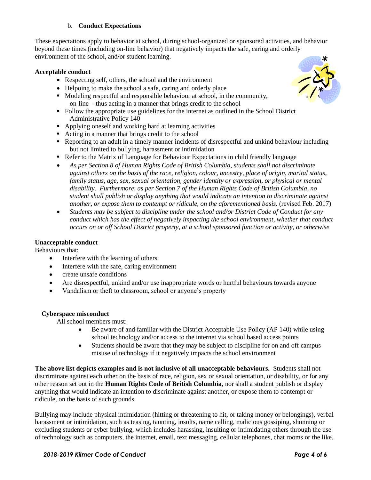## b. **Conduct Expectations**

These expectations apply to behavior at school, during school-organized or sponsored activities, and behavior beyond these times (including on-line behavior) that negatively impacts the safe, caring and orderly environment of the school, and/or student learning.

## **Acceptable conduct**

- Respecting self, others, the school and the environment
- Helpoing to make the school a safe, caring and orderly place
- $\blacksquare$  Modeling respectful and responsible behaviour at school, in the community, on-line - thus acting in a manner that brings credit to the school
- Follow the appropriate use guidelines for the internet as outlined in the School District Administrative Policy 140
- Applying oneself and working hard at learning activities
- Acting in a manner that brings credit to the school
- Reporting to an adult in a timely manner incidents of disrespectful and unkind behaviour including but not limited to bullying, harassment or intimidation
- Refer to the Matrix of Language for Behaviour Expectations in child friendly language
- *As per Section 8 of Human Rights Code of British Columbia, students shall not discriminate against others on the basis of the race, religion, colour, ancestry, place of origin, marital status, family status, age, sex, sexual orientation, gender identity or expression, or physical or mental disability. Furthermore, as per Section 7 of the Human Rights Code of British Columbia, no student shall publish or display anything that would indicate an intention to discriminate against another, or expose them to contempt or ridicule, on the aforementioned basis.* (revised Feb. 2017)
- *Students may be subject to discipline under the school and/or District Code of Conduct for any conduct which has the effect of negatively impacting the school environment, whether that conduct occurs on or off School District property, at a school sponsored function or activity, or otherwise*

#### **Unacceptable conduct**

Behaviours that:

- Interfere with the learning of others
- Interfere with the safe, caring environment
- create unsafe conditions
- Are disrespectful, unkind and/or use inappropriate words or hurtful behaviours towards anyone
- Vandalism or theft to classroom, school or anyone's property

## **Cyberspace misconduct**

All school members must:

- Be aware of and familiar with the District Acceptable Use Policy (AP 140) while using school technology and/or access to the internet via school based access points
- Students should be aware that they may be subject to discipline for on and off campus misuse of technology if it negatively impacts the school environment

**The above list depicts examples and is not inclusive of all unacceptable behaviours.** Students shall not discriminate against each other on the basis of race, religion, sex or sexual orientation, or disability, or for any other reason set out in the **Human Rights Code of British Columbia**, nor shall a student publish or display anything that would indicate an intention to discriminate against another, or expose them to contempt or ridicule, on the basis of such grounds.

Bullying may include physical intimidation (hitting or threatening to hit, or taking money or belongings), verbal harassment or intimidation, such as teasing, taunting, insults, name calling, malicious gossiping, shunning or excluding students or cyber bullying, which includes harassing, insulting or intimidating others through the use of technology such as computers, the internet, email, text messaging, cellular telephones, chat rooms or the like.

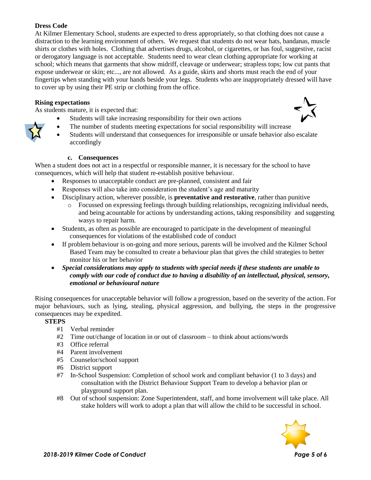# **Dress Code**

At Kilmer Elementary School, students are expected to dress appropriately, so that clothing does not cause a distraction to the learning environment of others. We request that students do not wear hats, bandanas, muscle shirts or clothes with holes. Clothing that advertises drugs, alcohol, or cigarettes, or has foul, suggestive, racist or derogatory language is not acceptable. Students need to wear clean clothing appropriate for working at school; which means that garments that show midriff, cleavage or underwear; strapless tops; low cut pants that expose underwear or skin; etc..., are not allowed. As a guide, skirts and shorts must reach the end of your fingertips when standing with your hands beside your legs. Students who are inappropriately dressed will have to cover up by using their PE strip or clothing from the office.

# **Rising expectations**

As students mature, it is expected that:

- Students will take increasing responsibility for their own actions
	- The number of students meeting expectations for social responsibility will increase
- Students will understand that consequences for irresponsible or unsafe behavior also escalate accordingly

## **c. Consequences**

When a student does not act in a respectful or responsible manner, it is necessary for the school to have consequences, which will help that student re-establish positive behaviour.

- Responses to unacceptable conduct are pre-planned, consistent and fair
- Responses will also take into consideration the student's age and maturity
- Disciplinary action, wherever possible, is **preventative and restorative**, rather than punitive
	- o Focussed on expressing feelings through building relationships, recognizing individual needs, and being acountable for actions by understanding actions, taking responsibility and suggesting wasys to repair harm.
- Students, as often as possible are encouraged to participate in the development of meaningful consequences for violations of the established code of conduct
- If problem behaviour is on-going and more serious, parents will be involved and the Kilmer School Based Team may be consulted to create a behaviour plan that gives the child strategies to better monitor his or her behavior
- *Special considerations may apply to students with special needs if these students are unable to comply with our code of conduct due to having a disability of an intellectual, physical, sensory, emotional or behavioural nature*

Rising consequences for unacceptable behavior will follow a progression, based on the severity of the action. For major behaviours, such as lying, stealing, physical aggression, and bullying, the steps in the progressive consequences may be expedited.

## **STEPS**

- #1 Verbal reminder
- #2 Time out/change of location in or out of classroom to think about actions/words
- #3 Office referral
- #4 Parent involvement
- #5 Counselor/school support
- #6 District support
- #7 In-School Suspension: Completion of school work and compliant behavior (1 to 3 days) and consultation with the District Behaviour Support Team to develop a behavior plan or playground support plan.
- #8 Out of school suspension: Zone Superintendent, staff, and home involvement will take place. All stake holders will work to adopt a plan that will allow the child to be successful in school.